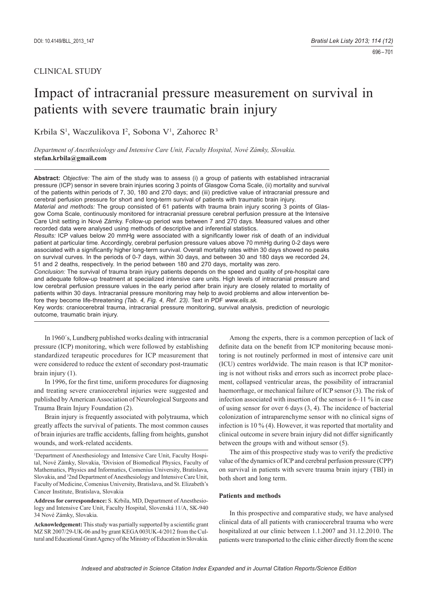# CLINICAL STUDY

# Impact of intracranial pressure measurement on survival in patients with severe traumatic brain injury

Krbila S<sup>1</sup>, Waczulikova I<sup>2</sup>, Sobona V<sup>1</sup>, Zahorec R<sup>3</sup>

*Department of Anesthesiology and Intensive Care Unit, Faculty Hospital, Nové Zámky, Slovakia.*  **stefan.krbila@gmail.com**

**Abstract:** *Objective:* The aim of the study was to assess (i) a group of patients with established intracranial pressure (ICP) sensor in severe brain injuries scoring 3 points of Glasgow Coma Scale, (ii) mortality and survival of the patients within periods of 7, 30, 180 and 270 days; and (iii) predictive value of intracranial pressure and cerebral perfusion pressure for short and long-term survival of patients with traumatic brain injury.

*Material and methods:* The group consisted of 61 patients with trauma brain injury scoring 3 points of Glasgow Coma Scale, continuously monitored for intracranial pressure cerebral perfusion pressure at the Intensive Care Unit setting in Nové Zámky. Follow-up period was between 7 and 270 days. Measured values and other recorded data were analysed using methods of descriptive and inferential statistics.

*Results:* ICP values below 20 mmHg were associated with a significantly lower risk of death of an individual patient at particular time. Accordingly, cerebral perfusion pressure values above 70 mmHg during 0-2 days were associated with a significantly higher long-term survival. Overall mortality rates within 30 days showed no peaks on survival curves. In the periods of 0-7 days, within 30 days, and between 30 and 180 days we recorded 24, 51 and 2 deaths, respectively. In the period between 180 and 270 days, mortality was zero.

*Conclusion:* The survival of trauma brain injury patients depends on the speed and quality of pre-hospital care and adequate follow-up treatment at specialized intensive care units. High levels of intracranial pressure and low cerebral perfusion pressure values in the early period after brain injury are closely related to mortality of patients within 30 days. Intracranial pressure monitoring may help to avoid problems and allow intervention before they become life-threatening *(Tab. 4, Fig. 4, Ref. 23)*. Text in PDF *www.elis.sk.*

Key words: craniocerebral trauma, intracranial pressure monitoring, survival analysis, prediction of neurologic outcome, traumatic brain injury.

In 1960´s, Lundberg published works dealing with intracranial pressure (ICP) monitoring, which were followed by establishing standardized terapeutic procedures for ICP measurement that were considered to reduce the extent of secondary post-traumatic brain injury (1).

In 1996, for the first time, uniform procedures for diagnosing and treating severe craniocerebral injuries were suggested and published by American Association of Neurological Surgeons and Trauma Brain Injury Foundation (2).

Brain injury is frequently associated with polytrauma, which greatly affects the survival of patients. The most common causes of brain injuries are traffic accidents, falling from heights, gunshot wounds, and work-related accidents.

<sup>1</sup>Department of Anesthesiology and Intensive Care Unit, Faculty Hospital, Nové Zámky, Slovakia, 2 Division of Biomedical Physics, Faculty of Mathematics, Physics and Informatics, Comenius University, Bratislava, Slovakia, and <sup>3</sup>2nd Department of Anesthesiology and Intensive Care Unit, Faculty of Medicine, Comenius University, Bratislava, and St. Elizabeth's Cancer Institute, Bratislava, Slovakia

**Address for correspondence:** S. Krbila, MD, Department of Anesthesiology and Intensive Care Unit, Faculty Hospital, Slovenská 11/A, SK-940 34 Nové Zámky, Slovakia.

Acknowledgement: This study was partially supported by a scientific grant MZ SR 2007/29-UK-06 and by grant KEGA 003UK-4/2012 from the Cultural and Educational Grant Agency of the Ministry of Education in Slovakia.

Among the experts, there is a common perception of lack of definite data on the benefit from ICP monitoring because monitoring is not routinely performed in most of intensive care unit (ICU) centres worldwide. The main reason is that ICP monitoring is not without risks and errors such as incorrect probe placement, collapsed ventricular areas, the possibility of intracranial haemorrhage, or mechanical failure of ICP sensor (3). The risk of infection associated with insertion of the sensor is 6–11 % in case of using sensor for over 6 days (3, 4). The incidence of bacterial colonization of intraparenchyme sensor with no clinical signs of infection is 10 % (4). However, it was reported that mortality and clinical outcome in severe brain injury did not differ significantly between the groups with and without sensor (5).

The aim of this prospective study was to verify the predictive value of the dynamics of ICP and cerebral perfusion pressure (CPP) on survival in patients with severe trauma brain injury (TBI) in both short and long term.

# **Patients and methods**

In this prospective and comparative study, we have analysed clinical data of all patients with craniocerebral trauma who were hospitalized at our clinic between 1.1.2007 and 31.12.2010. The patients were transported to the clinic either directly from the scene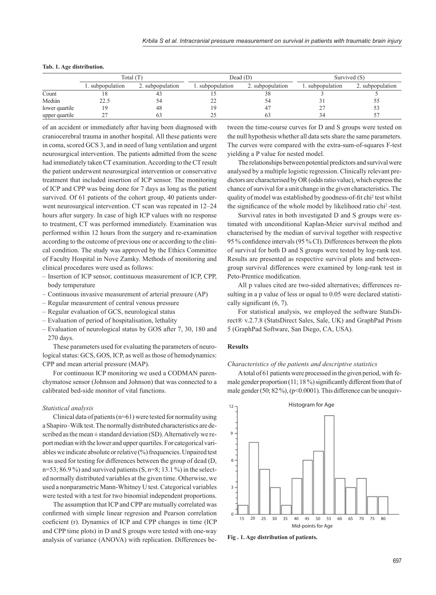|                | Total $(T)$      |                  |                 | Dead (D)         | Survived (S)     |                  |  |
|----------------|------------------|------------------|-----------------|------------------|------------------|------------------|--|
|                | 1. subpopulation | 2. subpopulation | . subpopulation | 2. subpopulation | 1. subpopulation | 2. subpopulation |  |
| Count          |                  |                  |                 | JС               |                  |                  |  |
| Medián         | 22.5             | 24               | ∸               |                  |                  | ں ر              |  |
| lower quartile |                  | 48               |                 |                  | 27               |                  |  |
| upper quartile |                  |                  |                 |                  | 34               |                  |  |

#### **Tab. 1. Age distribution.**

of an accident or immediately after having been diagnosed with craniocerebral trauma in another hospital. All these patients were in coma, scored GCS 3, and in need of lung ventilation and urgent neurosurgical intervention. The patients admitted from the scene had immediately taken CT examination. According to the CT result the patient underwent neurosurgical intervention or conservative treatment that included insertion of ICP sensor. The monitoring of ICP and CPP was being done for 7 days as long as the patient survived. Of 61 patients of the cohort group, 40 patients underwent neurosurgical intervention. CT scan was repeated in 12–24 hours after surgery. In case of high ICP values with no response to treatment, CT was performed immediately. Examination was performed within 12 hours from the surgery and re-examination according to the outcome of previous one or according to the clinical condition. The study was approved by the Ethics Committee of Faculty Hospital in Nove Zamky. Methods of monitoring and clinical procedures were used as follows:

- Insertion of ICP sensor, continuous measurement of ICP, CPP, body temperature
- Continuous invasive measurement of arterial pressure (AP)
- Regular measurement of central venous pressure
- Regular evaluation of GCS, neurological status
- Evaluation of period of hospitalisation, lethality
- Evaluation of neurological status by GOS after 7, 30, 180 and 270 days.

These parameters used for evaluating the parameters of neurological status: GCS, GOS, ICP, as well as those of hemodynamics: CPP and mean arterial pressure (MAP).

For continuous ICP monitoring we used a CODMAN parenchymatose sensor (Johnson and Johnson) that was connected to a calibrated bed-side monitor of vital functions.

#### *Statistical analysis*

Clinical data of patients (n=61) were tested for normality using a Shapiro–Wilk test. The normally distributed characteristics are described as the mean  $\pm$  standard deviation (SD). Alternatively we report median with the lower and upper quartiles. For categorical variables we indicate absolute or relative (%) frequencies. Unpaired test was used for testing for differences between the group of dead (D,  $n=53$ ; 86.9%) and survived patients  $(S, n=8; 13.1%)$  in the selected normally distributed variables at the given time. Otherwise, we used a nonparametric Mann-Whitney U test. Categorical variables were tested with a test for two binomial independent proportions.

The assumption that ICP and CPP are mutually correlated was confirmed with simple linear regresion and Pearson correlation coeficient (r). Dynamics of ICP and CPP changes in time (ICP and CPP time plots) in D and S groups were tested with one-way analysis of variance (ANOVA) with replication. Differences be-

tween the time-course curves for D and S groups were tested on the null hypothesis whether all data sets share the same parameters. The curves were compared with the extra-sum-of-squares F-test yielding a P value for nested model.

The relationships between potential predictors and survival were analysed by a multiple logistic regression. Clinically relevant predictors are characterised by OR (odds ratio value), which express the chance of survival for a unit change in the given characteristics. The quality of model was established by goodness-of-fit chi<sup>2</sup> test whilst the significance of the whole model by likelihood ratio chi<sup>2</sup>-test.

Survival rates in both investigated D and S groups were estimated with unconditional Kaplan-Meier survival method and characterised by the median of survival together with respective 95 % confidence intervals (95 % CI). Differences between the plots of survival for both D and S groups were tested by log-rank test. Results are presented as respective survival plots and betweengroup survival differences were examined by long-rank test in Peto-Prentice modification.

All p values cited are two-sided alternatives; differences resulting in a p value of less or equal to 0.05 were declared statistically significant  $(6, 7)$ .

For statistical analysis, we employed the software StatsDirect® v.2.7.8 (StatsDirect Sales, Sale, UK) and GraphPad Prism 5 (GraphPad Software, San Diego, CA, USA).

#### **Results**

#### *Characteristics of the patients and descriptive statistics*

A total of 61 patients were processed in the given period, with female gender proportion (11; 18 %) significantly different from that of male gender  $(50; 82\%)$ ,  $(p<0.0001)$ . This difference can be unequiv-



**Fig . 1. Age distribution of patients.**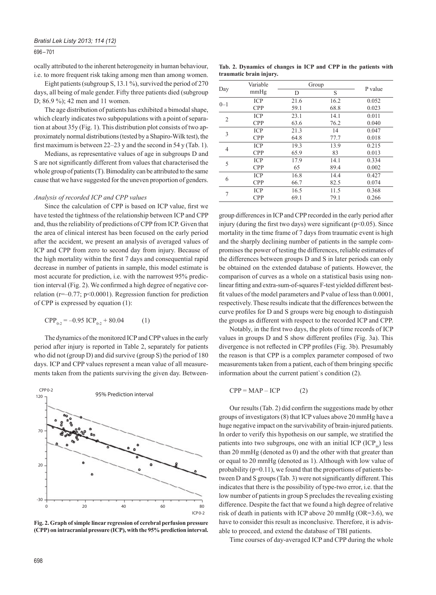# 696 – 701

ocally attributed to the inherent heterogeneity in human behaviour, i.e. to more frequent risk taking among men than among women.

Eight patients (subgroup S, 13.1 %), survived the period of 270 days, all being of male gender. Fifty three patients died (subgroup D; 86.9 %); 42 men and 11 women.

The age distribution of patients has exhibited a bimodal shape, which clearly indicates two subpopulations with a point of separation at about 35y (Fig. 1). This distribution plot consists of two approximately normal distributions (tested by a Shapiro-Wilk test), the first maximum is between  $22-23$  y and the second in 54 y (Tab. 1).

Medians, as representative values of age in subgroups D and S are not significantly different from values that characterised the whole group of patients (T). Bimodality can be attributed to the same cause that we have suggested for the uneven proportion of genders.

# *Analysis of recorded ICP and CPP values*

Since the calculation of CPP is based on ICP value, first we have tested the tightness of the relationship between ICP and CPP and, thus the reliability of predictions of CPP from ICP. Given that the area of clinical interest has been focused on the early period after the accident, we present an analysis of averaged values of ICP and CPP from zero to second day from injury. Because of the high mortality within the first 7 days and consequential rapid decrease in number of patients in sample, this model estimate is most accurate for prediction, i.e. with the narrowest 95% prediction interval (Fig. 2). We confirmed a high degree of negative correlation ( $r=-0.77$ ;  $p<0.0001$ ). Regression function for prediction of CPP is expressed by equation (1):

$$
CPP_{0-2} = -0.95 \text{ ICP}_{0-2} + 80.04 \tag{1}
$$

The dynamics of the monitored ICP and CPP values in the early period after injury is reported in Table 2, separately for patients who did not (group D) and did survive (group S) the period of 180 days. ICP and CPP values represent a mean value of all measurements taken from the patients surviving the given day. Between-



**Fig. 2. Graph of simple linear regression of cerebral perfusion pressure (CPP) on intracranial pressure (ICP), with the 95% prediction interval.**

|  | Tab. 2. Dynamics of changes in ICP and CPP in the patients with |  |  |  |  |  |
|--|-----------------------------------------------------------------|--|--|--|--|--|
|  | traumatic brain injury.                                         |  |  |  |  |  |

|         | Variable   | Group |      |         |
|---------|------------|-------|------|---------|
| Day     | mmHg       | D     | S    | P value |
| $0 - 1$ | <b>ICP</b> | 21.6  | 16.2 | 0.052   |
|         | <b>CPP</b> | 59.1  | 68.8 | 0.023   |
| 2       | <b>ICP</b> | 23.1  | 14.1 | 0.011   |
|         | <b>CPP</b> | 63.6  | 76.2 | 0.040   |
| 3       | <b>ICP</b> | 21.3  | 14   | 0.047   |
|         | <b>CPP</b> | 64.8  | 77.7 | 0.018   |
| 4       | <b>ICP</b> | 19.3  | 13.9 | 0.215   |
|         | <b>CPP</b> | 65.9  | 83   | 0.013   |
| 5       | <b>ICP</b> | 17.9  | 14.1 | 0.334   |
|         | <b>CPP</b> | 65    | 89.4 | 0.002   |
|         | <b>ICP</b> | 16.8  | 14.4 | 0.427   |
| 6       | <b>CPP</b> | 66.7  | 82.5 | 0.074   |
| 7       | <b>ICP</b> | 16.5  | 11.5 | 0.368   |
|         | <b>CPP</b> | 69.1  | 79.1 | 0.266   |

group differences in ICP and CPP recorded in the early period after injury (during the first two days) were significant ( $p<0.05$ ). Since mortality in the time frame of 7 days from traumatic event is high and the sharply declining number of patients in the sample compromises the power of testing the differences, reliable estimates of the differences between groups D and S in later periods can only be obtained on the extended database of patients. However, the comparison of curves as a whole on a statistical basis using nonlinear fitting and extra-sum-of-squares F-test yielded different bestfit values of the model parameters and P value of less than 0.0001, respectively. These results indicate that the differences between the curve profiles for D and S groups were big enough to distinguish the groups as different with respect to the recorded ICP and CPP.

Notably, in the first two days, the plots of time records of ICP values in groups D and S show different profiles (Fig. 3a). This divergence is not reflected in CPP profiles (Fig. 3b). Presumably the reason is that CPP is a complex parameter composed of two measurements taken from a patient, each of them bringing specific information about the current patient`s condition (2).

 $CPP = MAP - ICP$  (2)

Our results (Tab. 2) did confirm the suggestions made by other groups of investigators (8) that ICP values above 20 mmHg have a huge negative impact on the survivability of brain-injured patients. In order to verify this hypothesis on our sample, we stratified the patients into two subgroups, one with an initial ICP  $(ICP<sub>in</sub>)$  less than 20 mmHg (denoted as 0) and the other with that greater than or equal to 20 mmHg (denoted as 1). Although with low value of probability  $(p=0.11)$ , we found that the proportions of patients between D and S groups (Tab. 3) were not significantly different. This indicates that there is the possibility of type-two error, i.e. that the low number of patients in group S precludes the revealing existing difference. Despite the fact that we found a high degree of relative risk of death in patients with ICP above 20 mmHg (OR=3.6), we have to consider this result as inconclusive. Therefore, it is advisable to proceed, and extend the database of TBI patients.

Time courses of day-averaged ICP and CPP during the whole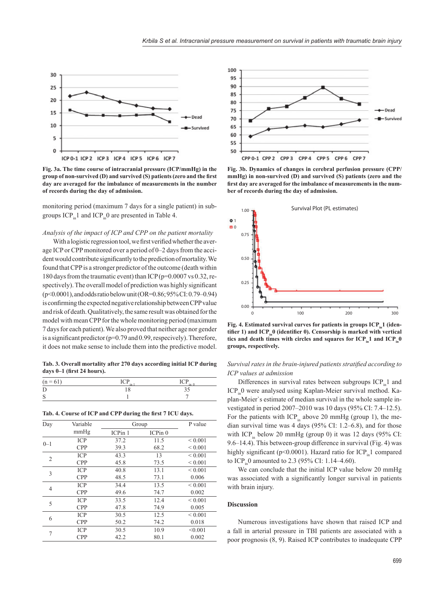

**Fig. 3a. The time course of intracranial pressure (ICP/mmHg) in the**  group of non-survived (D) and survived (S) patients (zero and the first **day are averaged for the imbalance of measurements in the number of records during the day of admission.**

monitoring period (maximum 7 days for a single patient) in subgroups  $ICP_{in}1$  and  $ICP_{in}0$  are presented in Table 4.

# *Analysis of the impact of ICP and CPP on the patient mortality*

With a logistic regression tool, we first verified whether the average ICP or CPP monitored over a period of 0–2 days from the accident would contribute significantly to the prediction of mortality. We found that CPP is a stronger predictor of the outcome (death within 180 days from the traumatic event) than ICP (p=0.0007 vs 0.32, respectively). The overall model of prediction was highly significant (p<0.0001), and odds ratio below unit (OR=0.86; 95% CI: 0.79–0.94) is confirming the expected negative relationship between CPP value and risk of death. Qualitatively, the same result was obtained for the model with mean CPP for the whole monitoring period (maximum 7 days for each patient). We also proved that neither age nor gender is a significant predictor ( $p=0.79$  and 0.99, respecively). Therefore, it does not make sense to include them into the predictive model.

**Tab. 3. Overall mortality after 270 days according initial ICP during**  days 0-1 (first 24 hours).

| ◡<br>          | $-$<br>$\tilde{}$<br>-- | $\sim$ |
|----------------|-------------------------|--------|
| г<br>÷.        | ◡                       |        |
| $\epsilon$<br> |                         |        |

|  |  |  | Tab. 4. Course of ICP and CPP during the first 7 ICU days. |
|--|--|--|------------------------------------------------------------|
|  |  |  |                                                            |

| mmHg<br>ICPin <sub>0</sub><br>ICP <sub>in</sub> 1<br><b>ICP</b><br>${}_{0.001}$<br>37.2<br>11.5<br>$0 - 1$<br><b>CPP</b><br>68.2<br>${}< 0.001$<br>39.3 |  |
|---------------------------------------------------------------------------------------------------------------------------------------------------------|--|
|                                                                                                                                                         |  |
|                                                                                                                                                         |  |
|                                                                                                                                                         |  |
| <b>ICP</b><br>${}_{0.001}$<br>43.3<br>13<br>2                                                                                                           |  |
| <b>CPP</b><br>73.5<br>${}< 0.001$<br>45.8                                                                                                               |  |
| <b>ICP</b><br>13.1<br>40.8<br>${}< 0.001$<br>3                                                                                                          |  |
| <b>CPP</b><br>73.1<br>0.006<br>48.5                                                                                                                     |  |
| <b>ICP</b><br>13.5<br>${}< 0.001$<br>34.4<br>4                                                                                                          |  |
| <b>CPP</b><br>49.6<br>74.7<br>0.002                                                                                                                     |  |
| <b>ICP</b><br>12.4<br>${}< 0.001$<br>33.5<br>5                                                                                                          |  |
| <b>CPP</b><br>47.8<br>74.9<br>0.005                                                                                                                     |  |
| <b>ICP</b><br>12.5<br>${}< 0.001$<br>30.5<br>6                                                                                                          |  |
| <b>CPP</b><br>50.2<br>0.018<br>74.2                                                                                                                     |  |
| <b>ICP</b><br>10.9<br>30.5<br>< 0.001<br>7                                                                                                              |  |
| <b>CPP</b><br>42.2<br>80.1<br>0.002                                                                                                                     |  |



**Fig. 3b. Dynamics of changes in cerebral perfusion pressure (CPP/ mmHg) in non-survived (D) and survived (S) patients (zero and the**  first day are averaged for the imbalance of measurements in the num**ber of records during the day of admission.**



Fig. 4. Estimated survival curves for patients in groups ICP<sub>in</sub>1 (identifier 1) and ICP<sub>in</sub>0 (identifier 0). Censorship is marked with vertical tics and death times with circles and squares for ICP<sub>in</sub>1 and ICP<sub>in</sub>0 **groups, respectively.**

# *Survival rates in the brain-injured patients stratified according to ICP values at admission*

Differences in survival rates between subgroups  $ICP_{in}1$  and ICP. 0 were analysed using Kaplan-Meier survival method. Kaplan-Meier`s estimate of median survival in the whole sample investigated in period 2007–2010 was 10 days (95% CI: 7.4–12.5). For the patients with ICP<sub>in</sub> above 20 mmHg (group 1), the median survival time was 4 days (95% CI: 1.2–6.8), and for those with ICP<sub>in</sub> below 20 mmHg (group 0) it was 12 days (95% CI: 9.6–14.4). This between-group difference in survival (Fig. 4) was highly significant (p<0.0001). Hazard ratio for  $ICP<sub>in</sub>1$  compared to  $ICP_{in}0$  amounted to 2.3 (95% CI: 1.14–4.60).

We can conclude that the initial ICP value below 20 mmHg was associated with a significantly longer survival in patients with brain injury.

# **Discussion**

Numerous investigations have shown that raised ICP and a fall in arterial pressure in TBI patients are associated with a poor prognosis (8, 9). Raised ICP contributes to inadequate CPP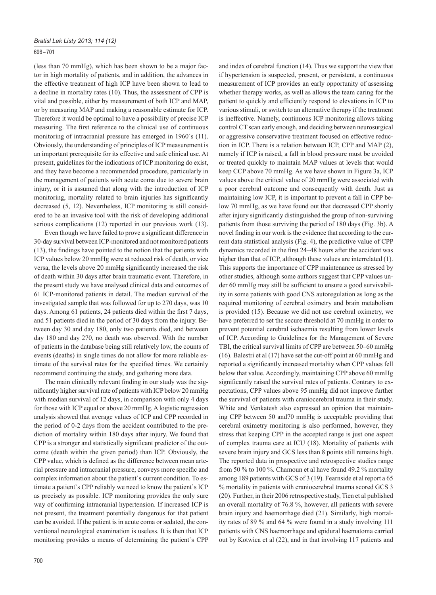# 696 – 701

(less than 70 mmHg), which has been shown to be a major factor in high mortality of patients, and in addition, the advances in the effective treatment of high ICP have been shown to lead to a decline in mortality rates (10). Thus, the assessment of CPP is vital and possible, either by measurement of both ICP and MAP, or by measuring MAP and making a reasonable estimate for ICP. Therefore it would be optimal to have a possibility of precise ICP measuring. The first reference to the clinical use of continuous monitoring of intracranial pressure has emerged in 1960´s (11). Obviously, the understanding of principles of ICP measurement is an important prerequisite for its effective and safe clinical use. At present, guidelines for the indications of ICP monitoring do exist, and they have become a recommended procedure, particularly in the management of patients with acute coma due to severe brain injury, or it is assumed that along with the introduction of ICP monitoring, mortality related to brain injuries has significantly decreased (5, 12). Nevertheless, ICP monitoring is still considered to be an invasive tool with the risk of developing additional serious complications (12) reported in our previous work (13).

Even though we have failed to prove a significant difference in 30-day survival between ICP-monitored and not monitored patients  $(13)$ , the findings have pointed to the notion that the patients with ICP values below 20 mmHg were at reduced risk of death, or vice versa, the levels above 20 mmHg significantly increased the risk of death within 30 days after brain traumatic event. Therefore, in the present study we have analysed clinical data and outcomes of 61 ICP-monitored patients in detail. The median survival of the investigated sample that was followed for up to 270 days, was 10 days. Among 61 patients, 24 patients died within the first 7 days, and 51 patients died in the period of 30 days from the injury. Between day 30 and day 180, only two patients died, and between day 180 and day 270, no death was observed. With the number of patients in the database being still relatively low, the counts of events (deaths) in single times do not allow for more reliable estimate of the survival rates for the specified times. We certainly recommend continuing the study, and gathering more data.

The main clinically relevant finding in our study was the significantly higher survival rate of patients with ICP below 20 mmHg with median survival of 12 days, in comparison with only 4 days for those with ICP equal or above 20 mmHg. A logistic regression analysis showed that average values of ICP and CPP recorded in the period of 0-2 days from the accident contributed to the prediction of mortality within 180 days after injury. We found that CPP is a stronger and statistically significant predictor of the outcome (death within the given period) than ICP. Obviously, the CPP value, which is defined as the difference between mean arterial pressure and intracranial pressure, conveys more specific and complex information about the patient`s current condition. To estimate a patient`s CPP reliably we need to know the patient`s ICP as precisely as possible. ICP monitoring provides the only sure way of confirming intracranial hypertension. If increased ICP is not present, the treatment potentially dangerous for that patient can be avoided. If the patient is in acute coma or sedated, the conventional neurological examination is useless. It is then that ICP monitoring provides a means of determining the patient`s CPP

whether therapy works, as well as allows the team caring for the patient to quickly and efficiently respond to elevations in ICP to various stimuli, or switch to an alternative therapy if the treatment is ineffective. Namely, continuous ICP monitoring allows taking control CT scan early enough, and deciding between neurosurgical or aggressive conservative treatment focused on effective reduction in ICP. There is a relation between ICP, CPP and MAP (2), namely if ICP is raised, a fall in blood pressure must be avoided or treated quickly to maintain MAP values at levels that would keep CCP above 70 mmHg. As we have shown in Figure 3a, ICP values above the critical value of 20 mmHg were associated with a poor cerebral outcome and consequently with death. Just as maintaining low ICP, it is important to prevent a fall in CPP below 70 mmHg, as we have found out that decreased CPP shortly after injury significantly distinguished the group of non-surviving patients from those surviving the period of 180 days (Fig. 3b). A novel finding in our work is the evidence that according to the current data statistical analysis (Fig. 4), the predictive value of CPP dynamics recorded in the first 24–48 hours after the accident was higher than that of ICP, although these values are interrelated (1). This supports the importance of CPP maintenance as stressed by other studies, although some authors suggest that CPP values under 60 mmHg may still be sufficient to ensure a good survivability in some patients with good CNS autoregulation as long as the required monitoring of cerebral oximetry and brain metabolism is provided (15). Because we did not use cerebral oximetry, we have preferred to set the secure threshold at 70 mmHg in order to prevent potential cerebral ischaemia resulting from lower levels of ICP. According to Guidelines for the Management of Severe TBI, the critical survival limits of CPP are between 50–60 mmHg (16). Balestri et al (17) have set the cut-off point at 60 mmHg and reported a significantly increased mortality when CPP values fell below that value. Accordingly, maintaining CPP above 60 mmHg significantly raised the survival rates of patients. Contrary to expectations, CPP values above 95 mmHg did not improve further the survival of patients with craniocerebral trauma in their study. White and Venkatesh also expressed an opinion that maintaining CPP between 50 and70 mmHg is acceptable providing that cerebral oximetry monitoring is also performed, however, they stress that keeping CPP in the accepted range is just one aspect of complex trauma care at ICU (18). Mortality of patients with severe brain injury and GCS less than 8 points still remains high. The reported data in prospective and retrospective studies range from 50 % to 100 %. Chamoun et al have found 49.2 % mortality among 189 patients with GCS of 3 (19). Fearnside et al report a 65 % mortality in patients with craniocerebral trauma scored GCS 3 (20). Further, in their 2006 retrospective study, Tien et al published an overall mortality of 76.8 %, however, all patients with severe brain injury and haemorrhage died (21). Similarly, high mortality rates of 89 % and 64 % were found in a study involving 111 patients with CNS haemorrhage and epidural haematoma carried out by Kotwica et al (22), and in that involving 117 patients and

and index of cerebral function (14). Thus we support the view that if hypertension is suspected, present, or persistent, a continuous measurement of ICP provides an early opportunity of assessing